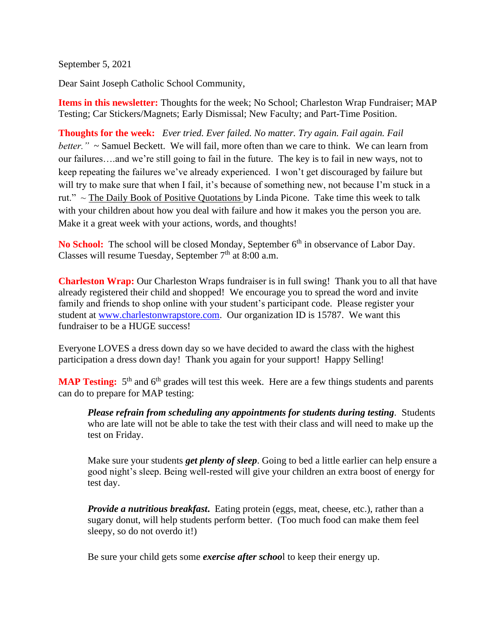September 5, 2021

Dear Saint Joseph Catholic School Community,

**Items in this newsletter:** Thoughts for the week; No School; Charleston Wrap Fundraiser; MAP Testing; Car Stickers/Magnets; Early Dismissal; New Faculty; and Part-Time Position.

**Thoughts for the week:** *Ever tried. Ever failed. No matter. Try again. Fail again. Fail better.*" ~ Samuel Beckett. We will fail, more often than we care to think. We can learn from our failures….and we're still going to fail in the future. The key is to fail in new ways, not to keep repeating the failures we've already experienced. I won't get discouraged by failure but will try to make sure that when I fail, it's because of something new, not because I'm stuck in a rut."  $\sim$  The Daily Book of Positive Quotations by Linda Picone. Take time this week to talk with your children about how you deal with failure and how it makes you the person you are. Make it a great week with your actions, words, and thoughts!

**No School:** The school will be closed Monday, September 6<sup>th</sup> in observance of Labor Day. Classes will resume Tuesday, September  $7<sup>th</sup>$  at 8:00 a.m.

**Charleston Wrap:** Our Charleston Wraps fundraiser is in full swing! Thank you to all that have already registered their child and shopped! We encourage you to spread the word and invite family and friends to shop online with your student's participant code. Please register your student at [www.charlestonwrapstore.com.](http://www.charlestonwrapstore.com/) Our organization ID is 15787. We want this fundraiser to be a HUGE success!

Everyone LOVES a dress down day so we have decided to award the class with the highest participation a dress down day! Thank you again for your support! Happy Selling!

**MAP Testing:** 5<sup>th</sup> and 6<sup>th</sup> grades will test this week. Here are a few things students and parents can do to prepare for MAP testing:

*Please refrain from scheduling any appointments for students during testing.* Students who are late will not be able to take the test with their class and will need to make up the test on Friday.

Make sure your students *get plenty of sleep*. Going to bed a little earlier can help ensure a good night's sleep. Being well-rested will give your children an extra boost of energy for test day.

*Provide a nutritious breakfast*. Eating protein (eggs, meat, cheese, etc.), rather than a sugary donut, will help students perform better. (Too much food can make them feel sleepy, so do not overdo it!)

Be sure your child gets some *exercise after schoo*l to keep their energy up.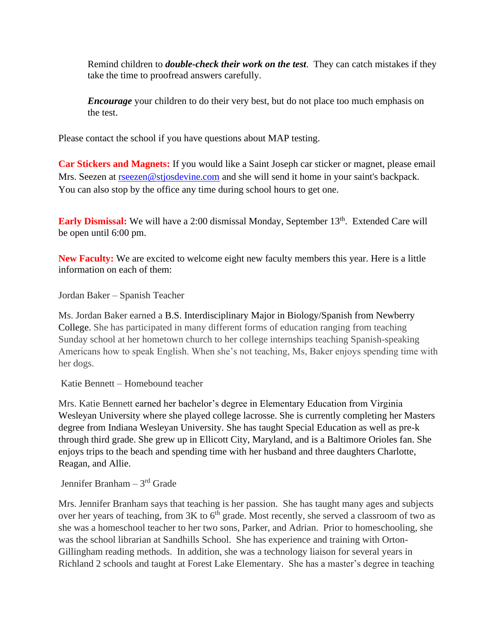Remind children to *double-check their work on the test*. They can catch mistakes if they take the time to proofread answers carefully.

*Encourage* your children to do their very best, but do not place too much emphasis on the test.

Please contact the school if you have questions about MAP testing.

**Car Stickers and Magnets:** If you would like a Saint Joseph car sticker or magnet, please email Mrs. Seezen at [rseezen@stjosdevine.com](mailto:rseezen@stjosdevine.com) and she will send it home in your saint's backpack. You can also stop by the office any time during school hours to get one.

Early Dismissal: We will have a 2:00 dismissal Monday, September 13<sup>th</sup>. Extended Care will be open until 6:00 pm.

**New Faculty:** We are excited to welcome eight new faculty members this year. Here is a little information on each of them:

Jordan Baker – Spanish Teacher

Ms. Jordan Baker earned a B.S. Interdisciplinary Major in Biology/Spanish from Newberry College. She has participated in many different forms of education ranging from teaching Sunday school at her hometown church to her college internships teaching Spanish-speaking Americans how to speak English. When she's not teaching, Ms, Baker enjoys spending time with her dogs.

Katie Bennett – Homebound teacher

Mrs. Katie Bennett earned her bachelor's degree in Elementary Education from Virginia Wesleyan University where she played college lacrosse. She is currently completing her Masters degree from Indiana Wesleyan University. She has taught Special Education as well as pre-k through third grade. She grew up in Ellicott City, Maryland, and is a Baltimore Orioles fan. She enjoys trips to the beach and spending time with her husband and three daughters Charlotte, Reagan, and Allie.

Jennifer Branham – 3rd Grade

Mrs. Jennifer Branham says that teaching is her passion. She has taught many ages and subjects over her years of teaching, from  $3K$  to  $6<sup>th</sup>$  grade. Most recently, she served a classroom of two as she was a homeschool teacher to her two sons, Parker, and Adrian. Prior to homeschooling, she was the school librarian at Sandhills School. She has experience and training with Orton-Gillingham reading methods. In addition, she was a technology liaison for several years in Richland 2 schools and taught at Forest Lake Elementary. She has a master's degree in teaching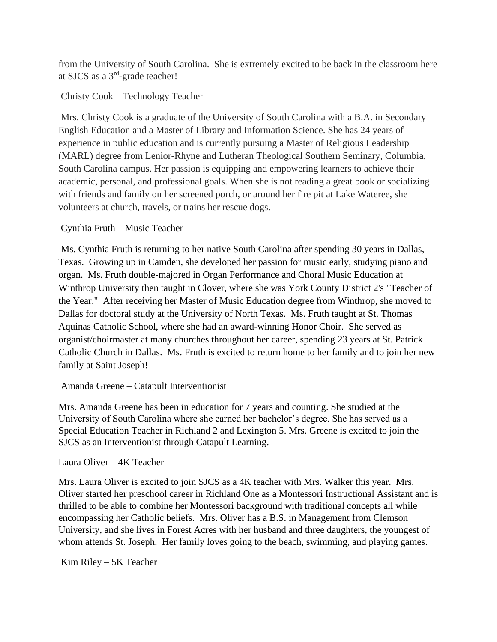from the University of South Carolina. She is extremely excited to be back in the classroom here at SJCS as a 3<sup>rd</sup>-grade teacher!

## Christy Cook – Technology Teacher

Mrs. Christy Cook is a graduate of the University of South Carolina with a B.A. in Secondary English Education and a Master of Library and Information Science. She has 24 years of experience in public education and is currently pursuing a Master of Religious Leadership (MARL) degree from Lenior-Rhyne and Lutheran Theological Southern Seminary, Columbia, South Carolina campus. Her passion is equipping and empowering learners to achieve their academic, personal, and professional goals. When she is not reading a great book or socializing with friends and family on her screened porch, or around her fire pit at Lake Wateree, she volunteers at church, travels, or trains her rescue dogs.

## Cynthia Fruth – Music Teacher

Ms. Cynthia Fruth is returning to her native South Carolina after spending 30 years in Dallas, Texas. Growing up in Camden, she developed her passion for music early, studying piano and organ. Ms. Fruth double-majored in Organ Performance and Choral Music Education at Winthrop University then taught in Clover, where she was York County District 2's "Teacher of the Year." After receiving her Master of Music Education degree from Winthrop, she moved to Dallas for doctoral study at the University of North Texas. Ms. Fruth taught at St. Thomas Aquinas Catholic School, where she had an award-winning Honor Choir. She served as organist/choirmaster at many churches throughout her career, spending 23 years at St. Patrick Catholic Church in Dallas. Ms. Fruth is excited to return home to her family and to join her new family at Saint Joseph!

## Amanda Greene – Catapult Interventionist

Mrs. Amanda Greene has been in education for 7 years and counting. She studied at the University of South Carolina where she earned her bachelor's degree. She has served as a Special Education Teacher in Richland 2 and Lexington 5. Mrs. Greene is excited to join the SJCS as an Interventionist through Catapult Learning.

## Laura Oliver – 4K Teacher

Mrs. Laura Oliver is excited to join SJCS as a 4K teacher with Mrs. Walker this year. Mrs. Oliver started her preschool career in Richland One as a Montessori Instructional Assistant and is thrilled to be able to combine her Montessori background with traditional concepts all while encompassing her Catholic beliefs. Mrs. Oliver has a B.S. in Management from Clemson University, and she lives in Forest Acres with her husband and three daughters, the youngest of whom attends St. Joseph. Her family loves going to the beach, swimming, and playing games.

Kim Riley – 5K Teacher